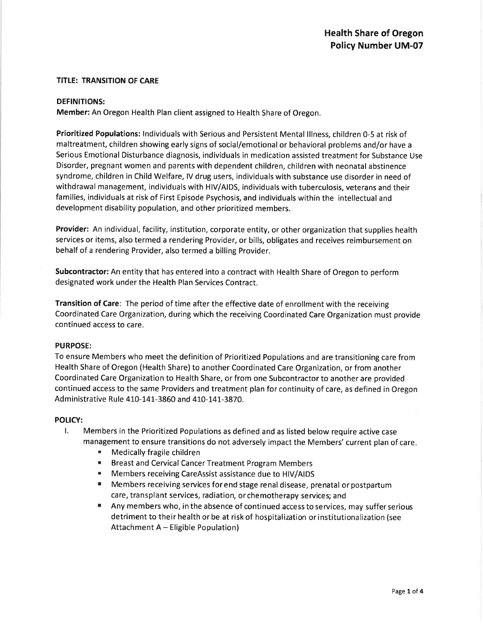### **TITLE: TRANSITION OF CARE**

### **DEFINITIONS:**

Member: An Oregon Health Plan client assigned to Health Share of Oregon.

Prioritized Populations: Individuals with Serious and Persistent Mental Illness, children 0-5 at risk of maltreatment, children showing early signs of social/emotional or behavioral problems and/or have a Serious Emotional Disturbance diagnosis, individuals in medication assisted treatment for Substance Use Disorder, pregnant women and parents with dependent children, children with neonatal abstinence syndrome, children in Child Welfare, IV drug users, individuals with substance use disorder in need of withdrawal management, individuals with HIV/AIDS, individuals with tuberculosis, veterans and their families, individuals at risk of First Episode Psychosis, and individuals within the intellectual and development disability population, and other prioritized members.

Provider: An individual, facility, institution, corporate entity, or other organization that supplies health services or items, also termed a rendering Provider, or bills, obligates and receives reimbursement on behalf of a rendering Provider, also termed a billing Provider.

Subcontractor: An entity that has entered into a contract with Health Share of Oregon to perform designated work under the Health Plan Services Contract.

Transition of Care: The period of time after the effective date of enrollment with the receiving Coordinated Care Organization, during which the receiving Coordinated Care Organization must provide continued access to care.

### **PURPOSE:**

To ensure Members who meet the definition of Prioritized Populations and are transitioning care from Health Share of Oregon (Health Share) to another Coordinated Care Organization, or from another Coordinated Care Organization to Health Share, or from one Subcontractor to another are provided continued access to the same Providers and treatment plan for continuity of care, as defined in Oregon Administrative Rule 410-141-3860 and 410-141-3870.

### **POLICY:**

- $\mathbf{L}$ Members in the Prioritized Populations as defined and as listed below require active case management to ensure transitions do not adversely impact the Members' current plan of care.
	- Medically fragile children
	- **Breast and Cervical Cancer Treatment Program Members**
	- " Members receiving CareAssist assistance due to HIV/AIDS
	- " Members receiving services for end stage renal disease, prenatal or postpartum care, transplant services, radiation, or chemotherapy services; and
	- $\blacksquare$ Any members who, in the absence of continued access to services, may suffer serious detriment to their health or be at risk of hospitalization or institutionalization (see Attachment A - Eligible Population)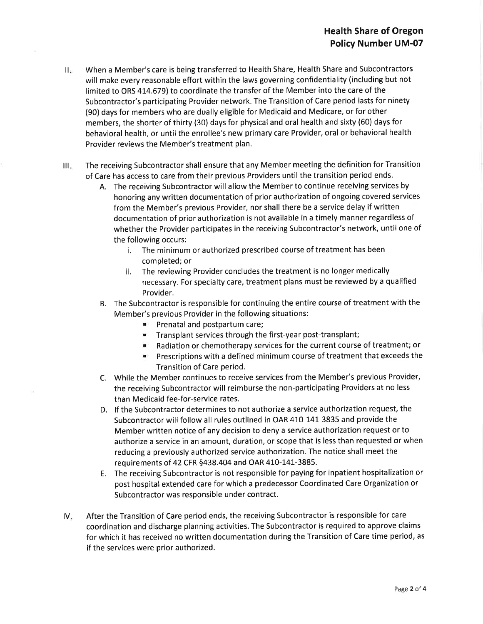- When a Member's care is being transferred to Health Share, Health Share and Subcontractors  $\prod_{\mathcal{R}}$ will make every reasonable effort within the laws governing confidentiality (including but not limited to ORS 414.679) to coordinate the transfer of the Member into the care of the Subcontractor's participating Provider network. The Transition of Care period lasts for ninety (90) days for members who are dually eligible for Medicaid and Medicare, or for other members, the shorter of thirty (30) days for physical and oral health and sixty (60) days for behavioral health, or until the enrollee's new primary care Provider, oral or behavioral health Provider reviews the Member's treatment plan.
- The receiving Subcontractor shall ensure that any Member meeting the definition for Transition  $\mathbf{III}_{\mathbf{c}}$ of Care has access to care from their previous Providers until the transition period ends.
	- A. The receiving Subcontractor will allow the Member to continue receiving services by honoring any written documentation of prior authorization of ongoing covered services from the Member's previous Provider, nor shall there be a service delay if written documentation of prior authorization is not available in a timely manner regardless of whether the Provider participates in the receiving Subcontractor's network, until one of the following occurs:
		- The minimum or authorized prescribed course of treatment has been j. completed; or
		- The reviewing Provider concludes the treatment is no longer medically ii. necessary. For specialty care, treatment plans must be reviewed by a qualified Provider.
	- B. The Subcontractor is responsible for continuing the entire course of treatment with the Member's previous Provider in the following situations:
		- Prenatal and postpartum care;
		- **EXECUTE:** Transplant services through the first-year post-transplant;
		- Radiation or chemotherapy services for the current course of treatment; or
		- **Example 2** Prescriptions with a defined minimum course of treatment that exceeds the Transition of Care period.
	- C. While the Member continues to receive services from the Member's previous Provider, the receiving Subcontractor will reimburse the non-participating Providers at no less than Medicaid fee-for-service rates.
	- D. If the Subcontractor determines to not authorize a service authorization request, the Subcontractor will follow all rules outlined in OAR 410-141-3835 and provide the Member written notice of any decision to deny a service authorization request or to authorize a service in an amount, duration, or scope that is less than requested or when reducing a previously authorized service authorization. The notice shall meet the requirements of 42 CFR §438.404 and OAR 410-141-3885.
	- E. The receiving Subcontractor is not responsible for paying for inpatient hospitalization or post hospital extended care for which a predecessor Coordinated Care Organization or Subcontractor was responsible under contract.
- After the Transition of Care period ends, the receiving Subcontractor is responsible for care IV. coordination and discharge planning activities. The Subcontractor is required to approve claims for which it has received no written documentation during the Transition of Care time period, as if the services were prior authorized.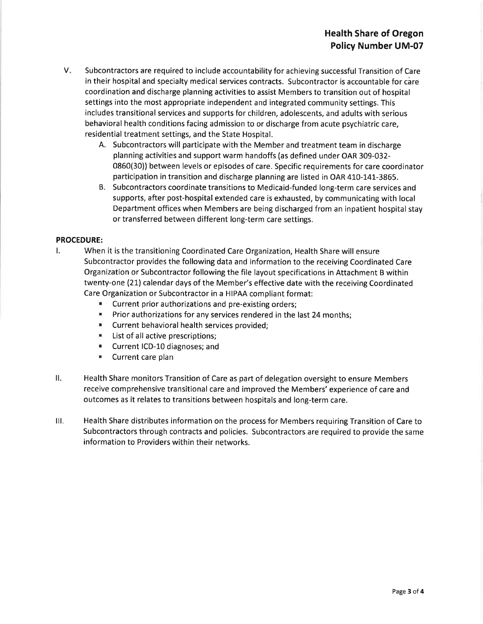- $V_{\star}$ Subcontractors are required to include accountability for achieving successful Transition of Care in their hospital and specialty medical services contracts. Subcontractor is accountable for care coordination and discharge planning activities to assist Members to transition out of hospital settings into the most appropriate independent and integrated community settings. This includes transitional services and supports for children, adolescents, and adults with serious behavioral health conditions facing admission to or discharge from acute psychiatric care, residential treatment settings, and the State Hospital.
	- A. Subcontractors will participate with the Member and treatment team in discharge planning activities and support warm handoffs (as defined under OAR 309-032-0860(30)) between levels or episodes of care. Specific requirements for care coordinator participation in transition and discharge planning are listed in OAR 410-141-3865.
	- B. Subcontractors coordinate transitions to Medicaid-funded long-term care services and supports, after post-hospital extended care is exhausted, by communicating with local Department offices when Members are being discharged from an inpatient hospital stay or transferred between different long-term care settings.

### **PROCEDURE:**

- $\mathbf{L}$ When it is the transitioning Coordinated Care Organization, Health Share will ensure Subcontractor provides the following data and information to the receiving Coordinated Care Organization or Subcontractor following the file layout specifications in Attachment B within twenty-one (21) calendar days of the Member's effective date with the receiving Coordinated Care Organization or Subcontractor in a HIPAA compliant format:
	- " Current prior authorizations and pre-existing orders;
	- **E** Prior authorizations for any services rendered in the last 24 months;
	- " Current behavioral health services provided;
	- List of all active prescriptions;
	- "Current ICD-10 diagnoses; and
	- Current care plan
- ΙΙ. Health Share monitors Transition of Care as part of delegation oversight to ensure Members receive comprehensive transitional care and improved the Members' experience of care and outcomes as it relates to transitions between hospitals and long-term care.
- HI. Health Share distributes information on the process for Members requiring Transition of Care to Subcontractors through contracts and policies. Subcontractors are required to provide the same information to Providers within their networks.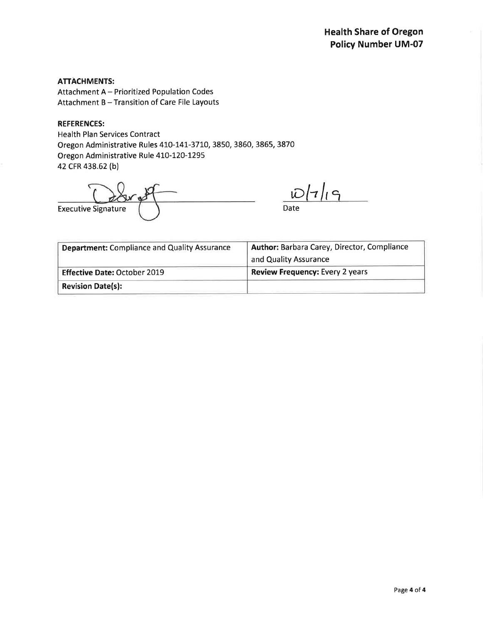### **ATTACHMENTS:**

Attachment A - Prioritized Population Codes Attachment B - Transition of Care File Layouts

### **REFERENCES:**

**Health Plan Services Contract** Oregon Administrative Rules 410-141-3710, 3850, 3860, 3865, 3870 Oregon Administrative Rule 410-120-1295 42 CFR 438.62 (b)

**Executive Signature** 

 $D|7|19$ 

Date

| <b>Department: Compliance and Quality Assurance</b> | <b>Author: Barbara Carey, Director, Compliance</b> |
|-----------------------------------------------------|----------------------------------------------------|
|                                                     | and Quality Assurance                              |
| <b>Effective Date: October 2019</b>                 | <b>Review Frequency: Every 2 years</b>             |
| <b>Revision Date(s):</b>                            |                                                    |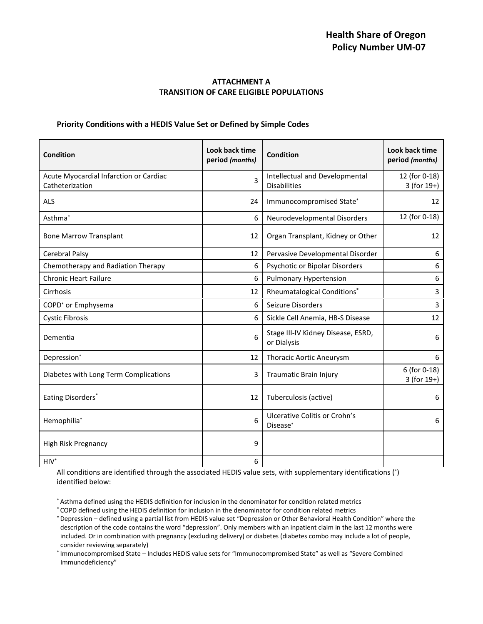### **ATTACHMENT A TRANSITION OF CARE ELIGIBLE POPULATIONS**

### **Priority Conditions with a HEDIS Value Set or Defined by Simple Codes**

| <b>Condition</b>                                          | Look back time<br>period (months) | <b>Condition</b>                                      | Look back time<br>period (months) |
|-----------------------------------------------------------|-----------------------------------|-------------------------------------------------------|-----------------------------------|
| Acute Myocardial Infarction or Cardiac<br>Catheterization | 3                                 | Intellectual and Developmental<br><b>Disabilities</b> | 12 (for 0-18)<br>$3$ (for $19+$ ) |
| <b>ALS</b>                                                | 24                                | Immunocompromised State*                              | 12                                |
| Asthma <sup>*</sup>                                       | 6                                 | Neurodevelopmental Disorders                          | 12 (for 0-18)                     |
| <b>Bone Marrow Transplant</b>                             | 12                                | Organ Transplant, Kidney or Other                     | 12                                |
| Cerebral Palsy                                            | 12                                | Pervasive Developmental Disorder                      | 6                                 |
| Chemotherapy and Radiation Therapy                        | 6                                 | Psychotic or Bipolar Disorders                        | 6                                 |
| <b>Chronic Heart Failure</b>                              | 6                                 | <b>Pulmonary Hypertension</b>                         | 6                                 |
| Cirrhosis                                                 | 12                                | Rheumatalogical Conditions*                           | 3                                 |
| COPD <sup>*</sup> or Emphysema                            | 6                                 | Seizure Disorders                                     | 3                                 |
| <b>Cystic Fibrosis</b>                                    | 6                                 | Sickle Cell Anemia, HB-S Disease                      | 12                                |
| Dementia                                                  | 6                                 | Stage III-IV Kidney Disease, ESRD,<br>or Dialysis     | 6                                 |
| Depression*                                               | 12                                | <b>Thoracic Aortic Aneurysm</b>                       | 6                                 |
| Diabetes with Long Term Complications                     | 3                                 | Traumatic Brain Injury                                | 6 (for 0-18)<br>$3$ (for $19+$ )  |
| Eating Disorders*                                         | 12                                | Tuberculosis (active)                                 | 6                                 |
| Hemophilia*                                               | 6                                 | Ulcerative Colitis or Crohn's<br>Disease*             | 6                                 |
| High Risk Pregnancy                                       | 9                                 |                                                       |                                   |
| $HIV*$                                                    | 6                                 |                                                       |                                   |

All conditions are identified through the associated HEDIS value sets, with supplementary identifications (\*) identified below:

\* Asthma defined using the HEDIS definition for inclusion in the denominator for condition related metrics

\* COPD defined using the HEDIS definition for inclusion in the denominator for condition related metrics

\* Depression – defined using a partial list from HEDIS value set "Depression or Other Behavioral Health Condition" where the description of the code contains the word "depression". Only members with an inpatient claim in the last 12 months were included. Or in combination with pregnancy (excluding delivery) or diabetes (diabetes combo may include a lot of people, consider reviewing separately)

\* Immunocompromised State – Includes HEDIS value sets for "Immunocompromised State" as well as "Severe Combined Immunodeficiency"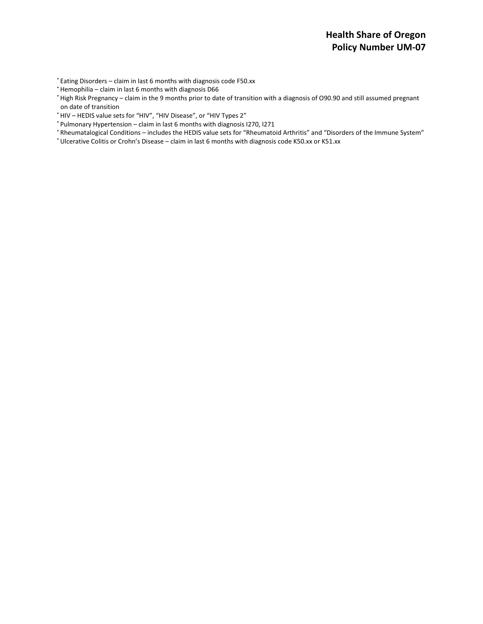\* Eating Disorders – claim in last 6 months with diagnosis code F50.xx

\* Hemophilia – claim in last 6 months with diagnosis D66

\* High Risk Pregnancy – claim in the 9 months prior to date of transition with a diagnosis of O90.90 and still assumed pregnant on date of transition

- \* HIV HEDIS value sets for "HIV", "HIV Disease", or "HIV Types 2"
- \* Pulmonary Hypertension claim in last 6 months with diagnosis I270, I271
- \* Rheumatalogical Conditions includes the HEDIS value sets for "Rheumatoid Arthritis" and "Disorders of the Immune System"
- \* Ulcerative Colitis or Crohn's Disease claim in last 6 months with diagnosis code K50.xx or K51.xx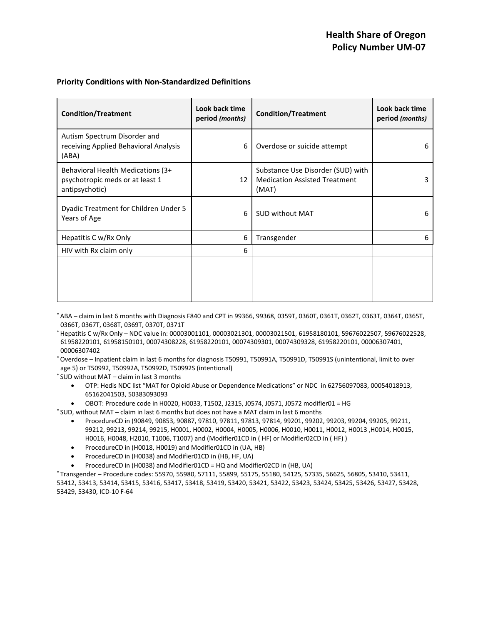### **Priority Conditions with Non-Standardized Definitions**

| <b>Condition/Treatment</b>                                                             | Look back time<br>period (months) | <b>Condition/Treatment</b>                                                         | Look back time<br>period (months) |
|----------------------------------------------------------------------------------------|-----------------------------------|------------------------------------------------------------------------------------|-----------------------------------|
| Autism Spectrum Disorder and<br>receiving Applied Behavioral Analysis<br>(ABA)         | 6                                 | Overdose or suicide attempt                                                        | 6                                 |
| Behavioral Health Medications (3+<br>psychotropic meds or at least 1<br>antipsychotic) | 12                                | Substance Use Disorder (SUD) with<br><b>Medication Assisted Treatment</b><br>(MAT) | 3                                 |
| Dyadic Treatment for Children Under 5<br>Years of Age                                  | 6                                 | <b>SUD without MAT</b>                                                             | 6                                 |
| Hepatitis C w/Rx Only                                                                  | 6                                 | Transgender                                                                        | 6                                 |
| HIV with Rx claim only                                                                 | 6                                 |                                                                                    |                                   |
|                                                                                        |                                   |                                                                                    |                                   |
|                                                                                        |                                   |                                                                                    |                                   |

\* ABA – claim in last 6 months with Diagnosis F840 and CPT in 99366, 99368, 0359T, 0360T, 0361T, 0362T, 0363T, 0364T, 0365T, 0366T, 0367T, 0368T, 0369T, 0370T, 0371T

\* Hepatitis C w/Rx Only – NDC value in: 00003001101, 00003021301, 00003021501, 61958180101, 59676022507, 59676022528, 61958220101, 61958150101, 00074308228, 61958220101, 00074309301, 00074309328, 61958220101, 00006307401, 00006307402

\* Overdose – Inpatient claim in last 6 months for diagnosis T50991, T50991A, T50991D, T50991S (unintentional, limit to over age 5) or T50992, T50992A, T50992D, T50992S (intentional)

\* SUD without MAT – claim in last 3 months

- OTP: Hedis NDC list "MAT for Opioid Abuse or Dependence Medications" or NDC in 62756097083, 00054018913, 65162041503, 50383093093
- OBOT: Procedure code in H0020, H0033, T1502, J2315, J0574, J0571, J0572 modifier01 = HG
- \* SUD, without MAT claim in last 6 months but does not have a MAT claim in last 6 months
	- ProcedureCD in (90849, 90853, 90887, 97810, 97811, 97813, 97814, 99201, 99202, 99203, 99204, 99205, 99211, 99212, 99213, 99214, 99215, H0001, H0002, H0004, H0005, H0006, H0010, H0011, H0012, H0013 ,H0014, H0015, H0016, H0048, H2010, T1006, T1007) and (Modifier01CD in ( HF) or Modifier02CD in ( HF) )
	- ProcedureCD in (H0018, H0019) and Modifier01CD in (UA, HB)
	- ProcedureCD in (H0038) and Modifier01CD in (HB, HF, UA)
	- ProcedureCD in (H0038) and Modifier01CD = HQ and Modifier02CD in (HB, UA)

\* Transgender – Procedure codes: 55970, 55980, 57111, 55899, 55175, 55180, 54125, 57335, 56625, 56805, 53410, 53411, 53412, 53413, 53414, 53415, 53416, 53417, 53418, 53419, 53420, 53421, 53422, 53423, 53424, 53425, 53426, 53427, 53428, 53429, 53430, ICD-10 F-64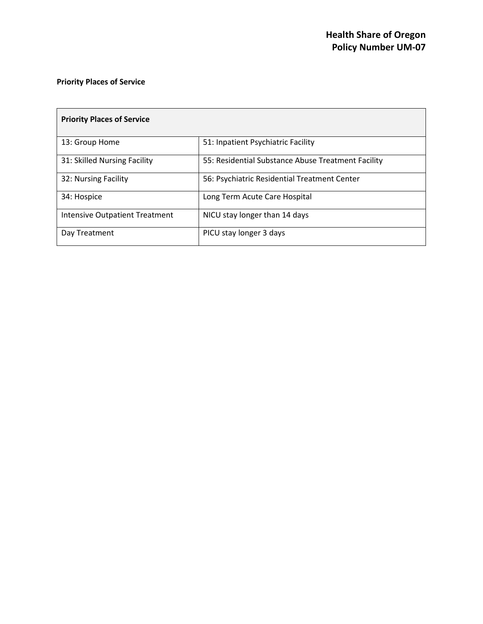## **Priority Places of Service**

| <b>Priority Places of Service</b>     |                                                    |
|---------------------------------------|----------------------------------------------------|
| 13: Group Home                        | 51: Inpatient Psychiatric Facility                 |
| 31: Skilled Nursing Facility          | 55: Residential Substance Abuse Treatment Facility |
| 32: Nursing Facility                  | 56: Psychiatric Residential Treatment Center       |
| 34: Hospice                           | Long Term Acute Care Hospital                      |
| <b>Intensive Outpatient Treatment</b> | NICU stay longer than 14 days                      |
| Day Treatment                         | PICU stay longer 3 days                            |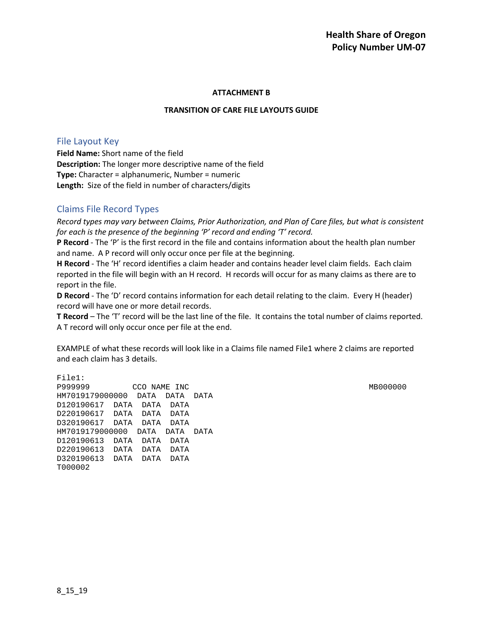### **ATTACHMENT B**

### **TRANSITION OF CARE FILE LAYOUTS GUIDE**

### File Layout Key

**Field Name:** Short name of the field **Description:** The longer more descriptive name of the field **Type:** Character = alphanumeric, Number = numeric **Length:** Size of the field in number of characters/digits

### Claims File Record Types

*Record types may vary between Claims, Prior Authorization, and Plan of Care files, but what is consistent for each is the presence of the beginning 'P' record and ending 'T' record.*

**P Record** - The 'P' is the first record in the file and contains information about the health plan number and name. A P record will only occur once per file at the beginning.

**H Record** - The 'H' record identifies a claim header and contains header level claim fields. Each claim reported in the file will begin with an H record. H records will occur for as many claims as there are to report in the file.

**D Record** - The 'D' record contains information for each detail relating to the claim. Every H (header) record will have one or more detail records.

**T Record** – The 'T' record will be the last line of the file. It contains the total number of claims reported. A T record will only occur once per file at the end.

EXAMPLE of what these records will look like in a Claims file named File1 where 2 claims are reported and each claim has 3 details.

File1: P999999 CCO NAME INC MB000000 HM7019179000000 DATA DATA DATA D120190617 DATA DATA DATA D220190617 DATA DATA DATA D320190617 DATA DATA DATA HM7019179000000 DATA DATA DATA D120190613 DATA DATA DATA D220190613 DATA DATA DATA D320190613 DATA DATA DATA T000002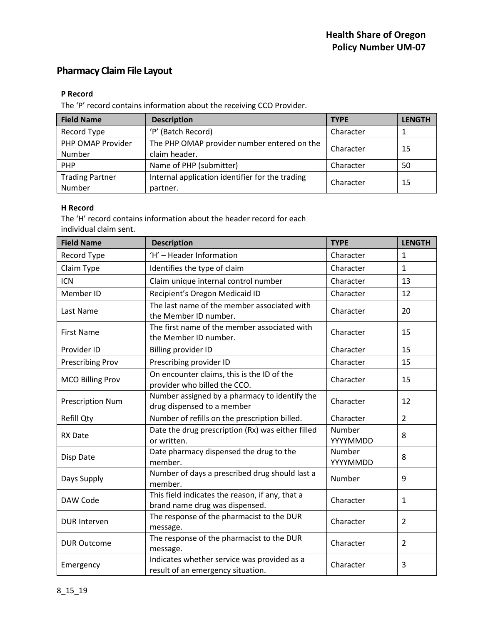# **Pharmacy Claim File Layout**

### **P Record**

The 'P' record contains information about the receiving CCO Provider.

| <b>Field Name</b>      | <b>Description</b>                              | <b>TYPE</b> | <b>LENGTH</b> |
|------------------------|-------------------------------------------------|-------------|---------------|
| Record Type            | 'P' (Batch Record)                              | Character   |               |
| PHP OMAP Provider      | The PHP OMAP provider number entered on the     |             | 15            |
| Number                 | claim header.                                   | Character   |               |
| <b>PHP</b>             | Name of PHP (submitter)                         | Character   | -50           |
| <b>Trading Partner</b> | Internal application identifier for the trading | Character   | 15            |
| Number                 | partner.                                        |             |               |

### **H Record**

The 'H' record contains information about the header record for each individual claim sent.

| <b>Field Name</b>       | <b>Description</b>                                                                | <b>TYPE</b>        | <b>LENGTH</b>  |
|-------------------------|-----------------------------------------------------------------------------------|--------------------|----------------|
| Record Type             | 'H' - Header Information                                                          | Character          | $\mathbf{1}$   |
| Claim Type              | Identifies the type of claim                                                      | Character          | $\mathbf{1}$   |
| <b>ICN</b>              | Claim unique internal control number                                              | Character          | 13             |
| Member ID               | Recipient's Oregon Medicaid ID                                                    | Character          | 12             |
| Last Name               | The last name of the member associated with<br>the Member ID number.              | Character          | 20             |
| <b>First Name</b>       | The first name of the member associated with<br>the Member ID number.             | Character          | 15             |
| Provider ID             | <b>Billing provider ID</b>                                                        | Character          | 15             |
| <b>Prescribing Prov</b> | Prescribing provider ID                                                           | Character          | 15             |
| <b>MCO Billing Prov</b> | On encounter claims, this is the ID of the<br>provider who billed the CCO.        | Character          | 15             |
| <b>Prescription Num</b> | Number assigned by a pharmacy to identify the<br>drug dispensed to a member       | Character          | 12             |
| <b>Refill Qty</b>       | Number of refills on the prescription billed.                                     | Character          | $\overline{2}$ |
| <b>RX Date</b>          | Date the drug prescription (Rx) was either filled<br>or written.                  | Number<br>YYYYMMDD | 8              |
| Disp Date               | Date pharmacy dispensed the drug to the<br>member.                                | Number<br>YYYYMMDD | 8              |
| Days Supply             | Number of days a prescribed drug should last a<br>member.                         | Number             | 9              |
| DAW Code                | This field indicates the reason, if any, that a<br>brand name drug was dispensed. | Character          | $\mathbf{1}$   |
| <b>DUR Interven</b>     | The response of the pharmacist to the DUR<br>message.                             | Character          | $\overline{2}$ |
| <b>DUR Outcome</b>      | The response of the pharmacist to the DUR<br>message.                             | Character          | 2              |
| Emergency               | Indicates whether service was provided as a<br>result of an emergency situation.  | Character          | 3              |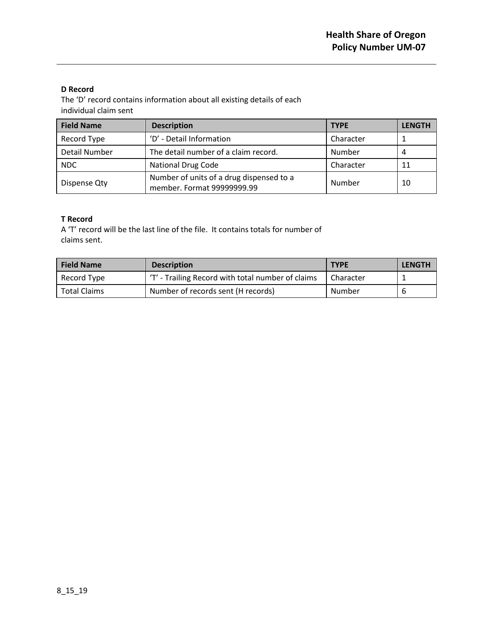### **D Record**

The 'D' record contains information about all existing details of each individual claim sent

| <b>Field Name</b> | <b>Description</b>                                                     | <b>TYPE</b> | <b>LENGTH</b> |
|-------------------|------------------------------------------------------------------------|-------------|---------------|
| Record Type       | 'D' - Detail Information                                               | Character   |               |
| Detail Number     | The detail number of a claim record.                                   | Number      | 4             |
| <b>NDC</b>        | <b>National Drug Code</b>                                              | Character   | 11            |
| Dispense Qty      | Number of units of a drug dispensed to a<br>member. Format 99999999.99 | Number      | 10            |

### **T Record**

A 'T' record will be the last line of the file. It contains totals for number of claims sent.

| <b>Field Name</b>   | <b>Description</b>                                | <b>TYPE</b> | <b>LENGTH</b> |
|---------------------|---------------------------------------------------|-------------|---------------|
| Record Type         | 'T' - Trailing Record with total number of claims | Character   |               |
| <b>Total Claims</b> | Number of records sent (H records)                | Number      | -6            |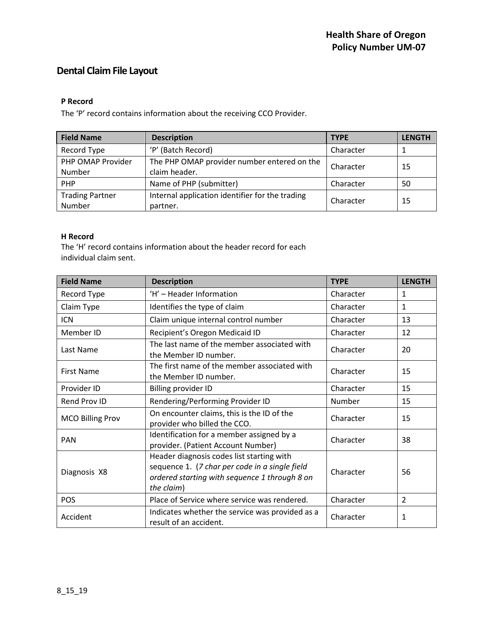# **Dental Claim File Layout**

### **P Record**

The 'P' record contains information about the receiving CCO Provider.

| <b>Field Name</b>      | <b>Description</b>                              | <b>TYPE</b> | <b>LENGTH</b> |
|------------------------|-------------------------------------------------|-------------|---------------|
| Record Type            | 'P' (Batch Record)                              | Character   |               |
| PHP OMAP Provider      | The PHP OMAP provider number entered on the     |             | -15           |
| Number                 | claim header.                                   | Character   |               |
| PHP                    | Name of PHP (submitter)                         | Character   | 50            |
| <b>Trading Partner</b> | Internal application identifier for the trading | Character   | 15            |
| Number                 | partner.                                        |             |               |

### **H Record**

The 'H' record contains information about the header record for each individual claim sent.

| <b>Field Name</b>       | <b>Description</b>                                                                                                                                         | <b>TYPE</b> | <b>LENGTH</b>  |
|-------------------------|------------------------------------------------------------------------------------------------------------------------------------------------------------|-------------|----------------|
| Record Type             | 'H' - Header Information                                                                                                                                   | Character   | $\mathbf{1}$   |
| Claim Type              | Identifies the type of claim                                                                                                                               | Character   | 1              |
| <b>ICN</b>              | Claim unique internal control number                                                                                                                       | Character   | 13             |
| Member ID               | Recipient's Oregon Medicaid ID                                                                                                                             | Character   | 12             |
| Last Name               | The last name of the member associated with<br>the Member ID number.                                                                                       | Character   | 20             |
| <b>First Name</b>       | The first name of the member associated with<br>the Member ID number.                                                                                      | Character   | 15             |
| Provider ID             | Billing provider ID                                                                                                                                        | Character   | 15             |
| Rend Prov ID            | Rendering/Performing Provider ID                                                                                                                           | Number      | 15             |
| <b>MCO Billing Prov</b> | On encounter claims, this is the ID of the<br>provider who billed the CCO.                                                                                 | Character   | 15             |
| <b>PAN</b>              | Identification for a member assigned by a<br>provider. (Patient Account Number)                                                                            | Character   | 38             |
| Diagnosis X8            | Header diagnosis codes list starting with<br>sequence 1. (7 char per code in a single field<br>ordered starting with sequence 1 through 8 on<br>the claim) | Character   | 56             |
| <b>POS</b>              | Place of Service where service was rendered.                                                                                                               | Character   | $\overline{2}$ |
| Accident                | Indicates whether the service was provided as a<br>result of an accident.                                                                                  | Character   | $\mathbf{1}$   |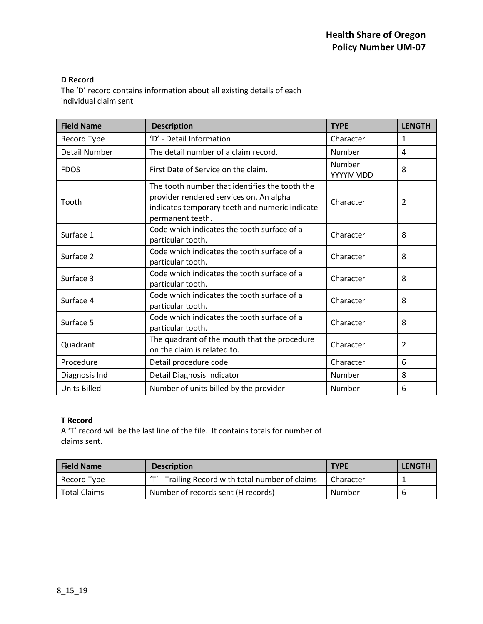### **D Record**

The 'D' record contains information about all existing details of each individual claim sent

| <b>Field Name</b>    | <b>Description</b>                                                                                                                                              | <b>TYPE</b>        | <b>LENGTH</b>  |
|----------------------|-----------------------------------------------------------------------------------------------------------------------------------------------------------------|--------------------|----------------|
| Record Type          | 'D' - Detail Information                                                                                                                                        | Character          | 1              |
| <b>Detail Number</b> | The detail number of a claim record.                                                                                                                            | Number             | 4              |
| <b>FDOS</b>          | First Date of Service on the claim.                                                                                                                             | Number<br>YYYYMMDD | 8              |
| Tooth                | The tooth number that identifies the tooth the<br>provider rendered services on. An alpha<br>indicates temporary teeth and numeric indicate<br>permanent teeth. | Character          | 2              |
| Surface 1            | Code which indicates the tooth surface of a<br>particular tooth.                                                                                                | Character          | 8              |
| Surface 2            | Code which indicates the tooth surface of a<br>particular tooth.                                                                                                | Character          | 8              |
| Surface 3            | Code which indicates the tooth surface of a<br>particular tooth.                                                                                                | Character          | 8              |
| Surface 4            | Code which indicates the tooth surface of a<br>particular tooth.                                                                                                | Character          | 8              |
| Surface 5            | Code which indicates the tooth surface of a<br>particular tooth.                                                                                                | Character          | 8              |
| Quadrant             | The quadrant of the mouth that the procedure<br>on the claim is related to.                                                                                     | Character          | $\overline{2}$ |
| Procedure            | Detail procedure code                                                                                                                                           | Character          | 6              |
| Diagnosis Ind        | Detail Diagnosis Indicator                                                                                                                                      | Number             | 8              |
| <b>Units Billed</b>  | Number of units billed by the provider                                                                                                                          | Number             | 6              |

### **T Record**

A 'T' record will be the last line of the file. It contains totals for number of claims sent.

| <b>Field Name</b> | <b>Description</b>                                | <b>TYPE</b> | <b>LENGTH</b> |
|-------------------|---------------------------------------------------|-------------|---------------|
| Record Type       | 'T' - Trailing Record with total number of claims | Character   |               |
| Total Claims      | Number of records sent (H records)                | Number      | 6             |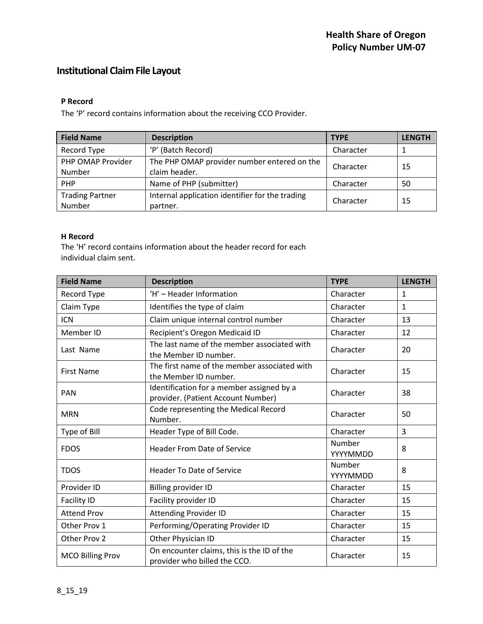# **Institutional Claim File Layout**

### **P Record**

The 'P' record contains information about the receiving CCO Provider.

| <b>Field Name</b>      | <b>Description</b>                              | <b>TYPE</b> | <b>LENGTH</b> |
|------------------------|-------------------------------------------------|-------------|---------------|
| Record Type            | 'P' (Batch Record)                              | Character   |               |
| PHP OMAP Provider      | The PHP OMAP provider number entered on the     | Character   | -15           |
| Number                 | claim header.                                   |             |               |
| PHP                    | Name of PHP (submitter)                         | Character   | 50            |
| <b>Trading Partner</b> | Internal application identifier for the trading | Character   | 15            |
| Number                 | partner.                                        |             |               |

### **H Record**

The 'H' record contains information about the header record for each individual claim sent.

| <b>Field Name</b>       | <b>Description</b>                                                              | <b>TYPE</b>        | <b>LENGTH</b> |
|-------------------------|---------------------------------------------------------------------------------|--------------------|---------------|
| Record Type             | 'H' - Header Information                                                        | Character          | $\mathbf{1}$  |
| Claim Type              | Identifies the type of claim                                                    | Character          | $\mathbf{1}$  |
| <b>ICN</b>              | Claim unique internal control number                                            | Character          | 13            |
| Member ID               | Recipient's Oregon Medicaid ID                                                  | Character          | 12            |
| Last Name               | The last name of the member associated with<br>the Member ID number.            | Character          | 20            |
| <b>First Name</b>       | The first name of the member associated with<br>the Member ID number.           | Character          | 15            |
| <b>PAN</b>              | Identification for a member assigned by a<br>provider. (Patient Account Number) | Character          | 38            |
| <b>MRN</b>              | Code representing the Medical Record<br>Number.                                 | Character          | 50            |
| Type of Bill            | Header Type of Bill Code.                                                       | Character          | 3             |
| <b>FDOS</b>             | <b>Header From Date of Service</b>                                              | Number<br>YYYYMMDD | 8             |
| <b>TDOS</b>             | <b>Header To Date of Service</b>                                                | Number<br>YYYYMMDD | 8             |
| Provider ID             | <b>Billing provider ID</b>                                                      | Character          | 15            |
| <b>Facility ID</b>      | Facility provider ID                                                            | Character          | 15            |
| <b>Attend Prov</b>      | <b>Attending Provider ID</b>                                                    | Character          | 15            |
| Other Prov 1            | Performing/Operating Provider ID                                                | Character          | 15            |
| Other Prov 2            | Other Physician ID                                                              | Character          | 15            |
| <b>MCO Billing Prov</b> | On encounter claims, this is the ID of the<br>provider who billed the CCO.      | Character          | 15            |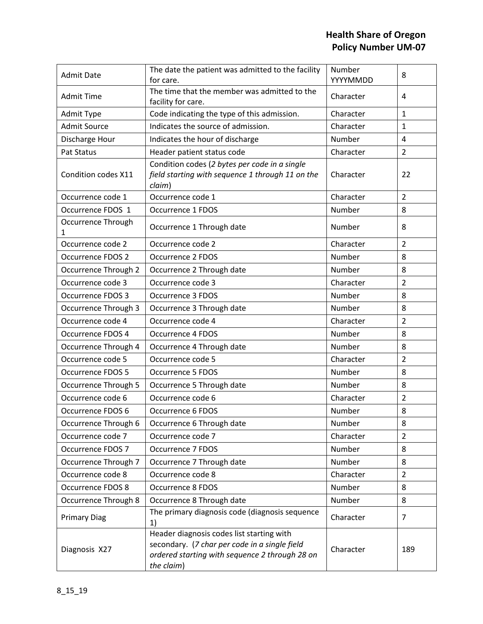| <b>Admit Date</b>        | The date the patient was admitted to the facility<br>for care.                                                                                             | Number<br>YYYYMMDD | 8              |
|--------------------------|------------------------------------------------------------------------------------------------------------------------------------------------------------|--------------------|----------------|
| <b>Admit Time</b>        | The time that the member was admitted to the<br>facility for care.                                                                                         | Character          | 4              |
| Admit Type               | Code indicating the type of this admission.                                                                                                                | Character          | $\mathbf{1}$   |
| <b>Admit Source</b>      | Indicates the source of admission.                                                                                                                         | Character          | 1              |
| Discharge Hour           | Indicates the hour of discharge                                                                                                                            | Number             | $\overline{4}$ |
| Pat Status               | Header patient status code                                                                                                                                 | Character          | $\overline{2}$ |
| Condition codes X11      | Condition codes (2 bytes per code in a single<br>field starting with sequence 1 through 11 on the<br>claim)                                                | Character          | 22             |
| Occurrence code 1        | Occurrence code 1                                                                                                                                          | Character          | $\overline{2}$ |
| Occurrence FDOS 1        | Occurrence 1 FDOS                                                                                                                                          | Number             | 8              |
| Occurrence Through<br>1  | Occurrence 1 Through date                                                                                                                                  | Number             | 8              |
| Occurrence code 2        | Occurrence code 2                                                                                                                                          | Character          | $\overline{2}$ |
| Occurrence FDOS 2        | Occurrence 2 FDOS                                                                                                                                          | Number             | 8              |
| Occurrence Through 2     | Occurrence 2 Through date                                                                                                                                  | Number             | 8              |
| Occurrence code 3        | Occurrence code 3                                                                                                                                          | Character          | $\overline{2}$ |
| <b>Occurrence FDOS 3</b> | Occurrence 3 FDOS                                                                                                                                          | Number             | 8              |
| Occurrence Through 3     | Occurrence 3 Through date                                                                                                                                  | Number             | 8              |
| Occurrence code 4        | Occurrence code 4                                                                                                                                          | Character          | $\overline{2}$ |
| Occurrence FDOS 4        | Occurrence 4 FDOS                                                                                                                                          | Number             | 8              |
| Occurrence Through 4     | Occurrence 4 Through date                                                                                                                                  | Number             | 8              |
| Occurrence code 5        | Occurrence code 5                                                                                                                                          | Character          | $\overline{2}$ |
| <b>Occurrence FDOS 5</b> | Occurrence 5 FDOS                                                                                                                                          | Number             | 8              |
| Occurrence Through 5     | Occurrence 5 Through date                                                                                                                                  | Number             | 8              |
| Occurrence code 6        | Occurrence code 6                                                                                                                                          | Character          | $\overline{2}$ |
| Occurrence FDOS 6        | Occurrence 6 FDOS                                                                                                                                          | Number             | 8              |
| Occurrence Through 6     | Occurrence 6 Through date                                                                                                                                  | Number             | 8              |
| Occurrence code 7        | Occurrence code 7                                                                                                                                          | Character          | 2              |
| Occurrence FDOS 7        | Occurrence 7 FDOS                                                                                                                                          | Number             | 8              |
| Occurrence Through 7     | Occurrence 7 Through date                                                                                                                                  | Number             | 8              |
| Occurrence code 8        | Occurrence code 8                                                                                                                                          | Character          | $\overline{2}$ |
| <b>Occurrence FDOS 8</b> | <b>Occurrence 8 FDOS</b>                                                                                                                                   | Number             | 8              |
| Occurrence Through 8     | Occurrence 8 Through date                                                                                                                                  | Number             | 8              |
| <b>Primary Diag</b>      | The primary diagnosis code (diagnosis sequence<br>1)                                                                                                       | Character          | 7              |
| Diagnosis X27            | Header diagnosis codes list starting with<br>secondary. (7 char per code in a single field<br>ordered starting with sequence 2 through 28 on<br>the claim) | Character          | 189            |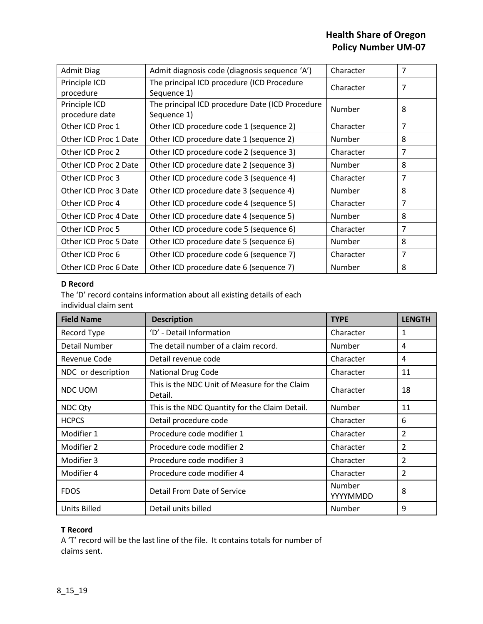| <b>Admit Diag</b>               | Admit diagnosis code (diagnosis sequence 'A')                  | Character     | 7 |
|---------------------------------|----------------------------------------------------------------|---------------|---|
| Principle ICD<br>procedure      | The principal ICD procedure (ICD Procedure<br>Sequence 1)      | Character     | 7 |
| Principle ICD<br>procedure date | The principal ICD procedure Date (ICD Procedure<br>Sequence 1) | Number        | 8 |
| Other ICD Proc 1                | Other ICD procedure code 1 (sequence 2)                        | Character     | 7 |
| Other ICD Proc 1 Date           | Other ICD procedure date 1 (sequence 2)                        | <b>Number</b> | 8 |
| Other ICD Proc 2                | Other ICD procedure code 2 (sequence 3)                        | Character     | 7 |
| Other ICD Proc 2 Date           | Other ICD procedure date 2 (sequence 3)                        | <b>Number</b> | 8 |
| Other ICD Proc 3                | Other ICD procedure code 3 (sequence 4)                        | Character     | 7 |
| Other ICD Proc 3 Date           | Other ICD procedure date 3 (sequence 4)                        | Number        | 8 |
| Other ICD Proc 4                | Other ICD procedure code 4 (sequence 5)                        | Character     | 7 |
| Other ICD Proc 4 Date           | Other ICD procedure date 4 (sequence 5)                        | Number        | 8 |
| Other ICD Proc 5                | Other ICD procedure code 5 (sequence 6)                        | Character     | 7 |
| Other ICD Proc 5 Date           | Other ICD procedure date 5 (sequence 6)                        | <b>Number</b> | 8 |
| Other ICD Proc 6                | Other ICD procedure code 6 (sequence 7)                        | Character     | 7 |
| Other ICD Proc 6 Date           | Other ICD procedure date 6 (sequence 7)                        | Number        | 8 |

### **D Record**

The 'D' record contains information about all existing details of each individual claim sent

| <b>Field Name</b>    | <b>Description</b>                                       | <b>TYPE</b>        | <b>LENGTH</b> |
|----------------------|----------------------------------------------------------|--------------------|---------------|
| Record Type          | 'D' - Detail Information                                 | Character          | 1             |
| <b>Detail Number</b> | The detail number of a claim record.                     | Number             | 4             |
| Revenue Code         | Detail revenue code                                      | Character          | 4             |
| NDC or description   | National Drug Code                                       | Character          | 11            |
| NDC UOM              | This is the NDC Unit of Measure for the Claim<br>Detail. | Character          | 18            |
| <b>NDC Qty</b>       | This is the NDC Quantity for the Claim Detail.           | Number             | 11            |
| <b>HCPCS</b>         | Detail procedure code                                    | Character          | 6             |
| Modifier 1           | Procedure code modifier 1                                | Character          | 2             |
| Modifier 2           | Procedure code modifier 2                                | Character          | 2             |
| Modifier 3           | Procedure code modifier 3                                | Character          | 2             |
| Modifier 4           | Procedure code modifier 4                                | Character          | 2             |
| <b>FDOS</b>          | Detail From Date of Service                              | Number<br>YYYYMMDD | 8             |
| Units Billed         | Detail units billed                                      | Number             | 9             |

## **T Record**

A 'T' record will be the last line of the file. It contains totals for number of claims sent.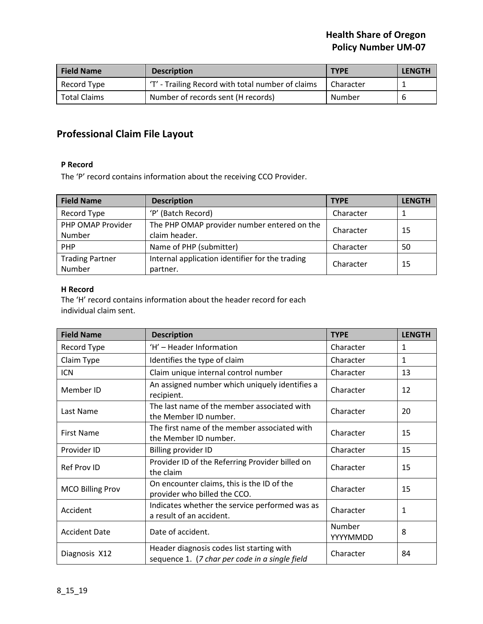| <b>Field Name</b>   | <b>Description</b>                               | <b>TYPE</b> | <b>LENGTH</b> |
|---------------------|--------------------------------------------------|-------------|---------------|
| Record Type         | T' - Trailing Record with total number of claims | Character   |               |
| <b>Total Claims</b> | Number of records sent (H records)               | Number      |               |

# **Professional Claim File Layout**

### **P Record**

The 'P' record contains information about the receiving CCO Provider.

| <b>Field Name</b>      | <b>Description</b>                              | <b>TYPE</b> | <b>LENGTH</b> |
|------------------------|-------------------------------------------------|-------------|---------------|
| Record Type            | 'P' (Batch Record)                              | Character   |               |
| PHP OMAP Provider      | The PHP OMAP provider number entered on the     | Character   | -15           |
| Number                 | claim header.                                   |             |               |
| <b>PHP</b>             | Name of PHP (submitter)                         | Character   | 50            |
| <b>Trading Partner</b> | Internal application identifier for the trading | Character   | 15            |
| Number                 | partner.                                        |             |               |

### **H Record**

The 'H' record contains information about the header record for each individual claim sent.

| <b>Field Name</b>       | <b>Description</b>                                                                          | <b>TYPE</b>        | <b>LENGTH</b> |
|-------------------------|---------------------------------------------------------------------------------------------|--------------------|---------------|
| Record Type             | 'H' - Header Information                                                                    | Character          | $\mathbf{1}$  |
| Claim Type              | Identifies the type of claim                                                                | Character          | 1             |
| ICN                     | Claim unique internal control number                                                        | Character          | 13            |
| Member ID               | An assigned number which uniquely identifies a<br>recipient.                                | Character          | 12            |
| Last Name               | The last name of the member associated with<br>the Member ID number.                        | Character          | 20            |
| <b>First Name</b>       | The first name of the member associated with<br>the Member ID number.                       | Character          | 15            |
| Provider ID             | Billing provider ID                                                                         | Character          | 15            |
| <b>Ref Prov ID</b>      | Provider ID of the Referring Provider billed on<br>the claim                                | Character          | 15            |
| <b>MCO Billing Prov</b> | On encounter claims, this is the ID of the<br>provider who billed the CCO.                  | Character          | 15            |
| Accident                | Indicates whether the service performed was as<br>a result of an accident.                  | Character          | 1             |
| <b>Accident Date</b>    | Date of accident.                                                                           | Number<br>YYYYMMDD | 8             |
| Diagnosis X12           | Header diagnosis codes list starting with<br>sequence 1. (7 char per code in a single field | Character          | 84            |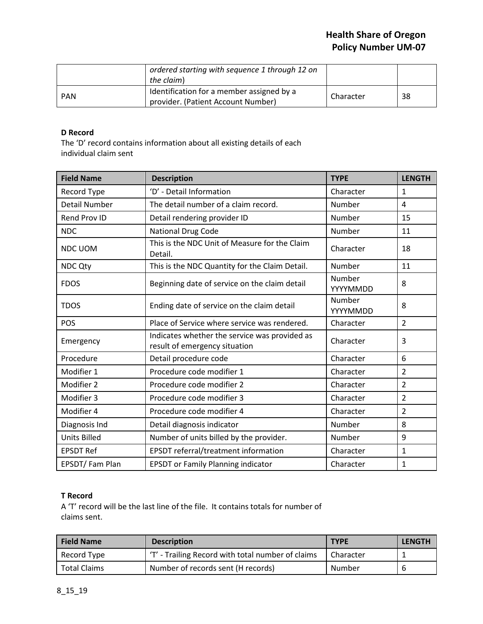|            | ordered starting with sequence 1 through 12 on<br>the claim)                    |           |     |
|------------|---------------------------------------------------------------------------------|-----------|-----|
| <b>PAN</b> | Identification for a member assigned by a<br>provider. (Patient Account Number) | Character | -38 |

### **D Record**

The 'D' record contains information about all existing details of each individual claim sent

| <b>Field Name</b>    | <b>Description</b>                                                             | <b>TYPE</b>        | <b>LENGTH</b>  |
|----------------------|--------------------------------------------------------------------------------|--------------------|----------------|
| Record Type          | 'D' - Detail Information                                                       | Character          | $\mathbf{1}$   |
| <b>Detail Number</b> | The detail number of a claim record.                                           | Number             | 4              |
| Rend Prov ID         | Detail rendering provider ID                                                   | Number             | 15             |
| <b>NDC</b>           | National Drug Code                                                             | Number             | 11             |
| <b>NDC UOM</b>       | This is the NDC Unit of Measure for the Claim<br>Detail.                       | Character          | 18             |
| <b>NDC Qty</b>       | This is the NDC Quantity for the Claim Detail.                                 | Number             | 11             |
| <b>FDOS</b>          | Beginning date of service on the claim detail                                  | Number<br>YYYYMMDD | 8              |
| <b>TDOS</b>          | Ending date of service on the claim detail                                     | Number<br>YYYYMMDD | 8              |
| POS                  | Place of Service where service was rendered.                                   | Character          | $\overline{2}$ |
| Emergency            | Indicates whether the service was provided as<br>result of emergency situation | Character          | 3              |
| Procedure            | Detail procedure code                                                          | Character          | 6              |
| Modifier 1           | Procedure code modifier 1                                                      | Character          | $\overline{2}$ |
| Modifier 2           | Procedure code modifier 2                                                      | Character          | $\overline{2}$ |
| Modifier 3           | Procedure code modifier 3                                                      | Character          | $\overline{2}$ |
| Modifier 4           | Procedure code modifier 4                                                      | Character          | $\overline{2}$ |
| Diagnosis Ind        | Detail diagnosis indicator                                                     | Number             | 8              |
| <b>Units Billed</b>  | Number of units billed by the provider.                                        | Number             | 9              |
| <b>EPSDT Ref</b>     | EPSDT referral/treatment information                                           | Character          | $\mathbf{1}$   |
| EPSDT/Fam Plan       | <b>EPSDT or Family Planning indicator</b>                                      | Character          | $\mathbf 1$    |

### **T Record**

A 'T' record will be the last line of the file. It contains totals for number of claims sent.

| <b>Field Name</b>   | <b>Description</b>                                | <b>TYPE</b> | <b>LENGTH</b> |
|---------------------|---------------------------------------------------|-------------|---------------|
| Record Type         | 'T' - Trailing Record with total number of claims | Character   |               |
| <b>Total Claims</b> | Number of records sent (H records)                | Number      | -6            |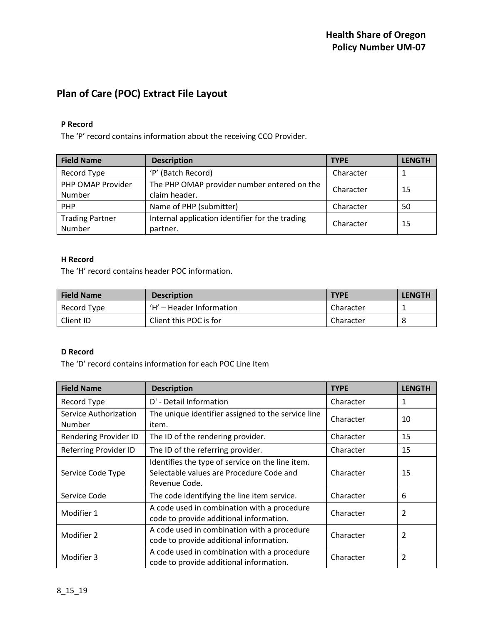# **Plan of Care (POC) Extract File Layout**

### **P Record**

The 'P' record contains information about the receiving CCO Provider.

| <b>Field Name</b>      | <b>Description</b>                              | <b>TYPE</b> | <b>LENGTH</b> |
|------------------------|-------------------------------------------------|-------------|---------------|
| Record Type            | 'P' (Batch Record)                              | Character   |               |
| PHP OMAP Provider      | The PHP OMAP provider number entered on the     | Character   | 15            |
| Number                 | claim header.                                   |             |               |
| <b>PHP</b>             | Name of PHP (submitter)                         | Character   | 50            |
| <b>Trading Partner</b> | Internal application identifier for the trading | Character   | 15            |
| Number                 | partner.                                        |             |               |

### **H Record**

The 'H' record contains header POC information.

| <b>Field Name</b> | <b>Description</b>       | <b>TYPE</b> | <b>LENGTH</b> |
|-------------------|--------------------------|-------------|---------------|
| Record Type       | 'H' – Header Information | Character   |               |
| Client ID         | Client this POC is for   | Character   | 8             |

### **D Record**

The 'D' record contains information for each POC Line Item

| <b>Field Name</b>                      | <b>Description</b>                                                                                            | <b>TYPE</b> | <b>LENGTH</b> |
|----------------------------------------|---------------------------------------------------------------------------------------------------------------|-------------|---------------|
| Record Type                            | D' - Detail Information                                                                                       | Character   | 1             |
| <b>Service Authorization</b><br>Number | The unique identifier assigned to the service line<br>item.                                                   | Character   | 10            |
| Rendering Provider ID                  | The ID of the rendering provider.                                                                             | Character   | 15            |
| Referring Provider ID                  | The ID of the referring provider.                                                                             | Character   | 15            |
| Service Code Type                      | Identifies the type of service on the line item.<br>Selectable values are Procedure Code and<br>Revenue Code. | Character   | 15            |
| Service Code                           | The code identifying the line item service.                                                                   | Character   | 6             |
| Modifier 1                             | A code used in combination with a procedure<br>code to provide additional information.                        | Character   | 2             |
| Modifier 2                             | A code used in combination with a procedure<br>code to provide additional information.                        | Character   | 2             |
| Modifier 3                             | A code used in combination with a procedure<br>code to provide additional information.                        | Character   | 2             |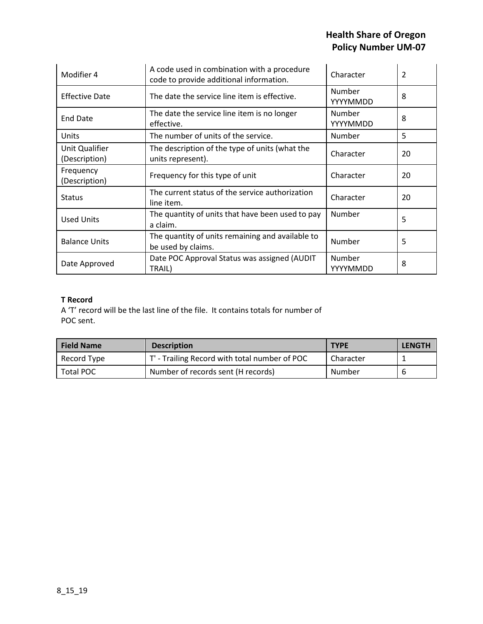| Modifier 4                      | A code used in combination with a procedure<br>code to provide additional information. | Character          | $\overline{2}$ |
|---------------------------------|----------------------------------------------------------------------------------------|--------------------|----------------|
| <b>Effective Date</b>           | The date the service line item is effective.                                           | Number<br>YYYYMMDD | 8              |
| <b>End Date</b>                 | The date the service line item is no longer<br>effective.                              | Number<br>YYYYMMDD | 8              |
| <b>Units</b>                    | The number of units of the service.                                                    | Number             | 5              |
| Unit Qualifier<br>(Description) | The description of the type of units (what the<br>units represent).                    | Character          | 20             |
| Frequency<br>(Description)      | Frequency for this type of unit                                                        | Character          | 20             |
| <b>Status</b>                   | The current status of the service authorization<br>line item.                          | Character          | 20             |
| <b>Used Units</b>               | The quantity of units that have been used to pay<br>a claim.                           | Number             | 5              |
| <b>Balance Units</b>            | The quantity of units remaining and available to<br>be used by claims.                 | Number             | 5              |
| Date Approved                   | Date POC Approval Status was assigned (AUDIT<br>TRAIL)                                 | Number<br>YYYYMMDD | 8              |

## **T Record**

A 'T' record will be the last line of the file. It contains totals for number of POC sent.

| <b>Field Name</b> | <b>Description</b>                            | <b>TYPE</b> | <b>LENGTH</b> |
|-------------------|-----------------------------------------------|-------------|---------------|
| Record Type       | T' - Trailing Record with total number of POC | Character   |               |
| Total POC         | Number of records sent (H records)            | Number      | 6             |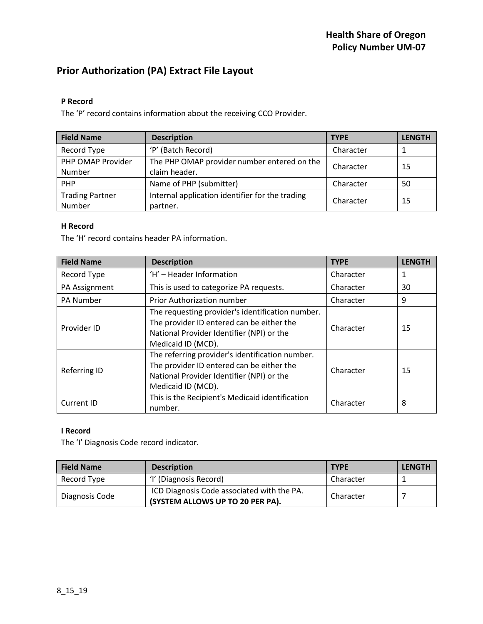# **Prior Authorization (PA) Extract File Layout**

### **P Record**

The 'P' record contains information about the receiving CCO Provider.

| <b>Field Name</b>      | <b>Description</b>                              | <b>TYPE</b> | <b>LENGTH</b> |
|------------------------|-------------------------------------------------|-------------|---------------|
| Record Type            | 'P' (Batch Record)                              | Character   |               |
| PHP OMAP Provider      | The PHP OMAP provider number entered on the     | Character   | -15           |
| Number                 | claim header.                                   |             |               |
| PHP                    | Name of PHP (submitter)                         | Character   | 50            |
| <b>Trading Partner</b> | Internal application identifier for the trading | Character   | 15            |
| Number                 | partner.                                        |             |               |

### **H Record**

The 'H' record contains header PA information.

| <b>Field Name</b>   | <b>Description</b>                                                                                                                                               | <b>TYPE</b> | <b>LENGTH</b> |
|---------------------|------------------------------------------------------------------------------------------------------------------------------------------------------------------|-------------|---------------|
| Record Type         | 'H' - Header Information                                                                                                                                         | Character   |               |
| PA Assignment       | This is used to categorize PA requests.                                                                                                                          | Character   | 30            |
| <b>PA Number</b>    | Prior Authorization number                                                                                                                                       | Character   | 9             |
| Provider ID         | The requesting provider's identification number.<br>The provider ID entered can be either the<br>National Provider Identifier (NPI) or the<br>Medicaid ID (MCD). | Character   | 15            |
| <b>Referring ID</b> | The referring provider's identification number.<br>The provider ID entered can be either the<br>National Provider Identifier (NPI) or the<br>Medicaid ID (MCD).  | Character   | 15            |
| Current ID          | This is the Recipient's Medicaid identification<br>number.                                                                                                       | Character   | 8             |

### **I Record**

The 'I' Diagnosis Code record indicator.

| <b>Field Name</b> | <b>Description</b>                                                             | <b>TYPE</b> | <b>LENGTH</b> |
|-------------------|--------------------------------------------------------------------------------|-------------|---------------|
| Record Type       | 'I' (Diagnosis Record)                                                         | Character   |               |
| Diagnosis Code    | ICD Diagnosis Code associated with the PA.<br>(SYSTEM ALLOWS UP TO 20 PER PA). | Character   |               |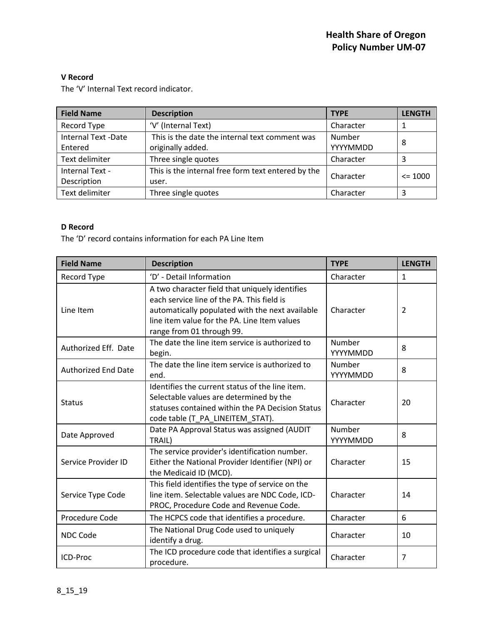### **V Record**

The 'V' Internal Text record indicator.

| <b>Field Name</b>                     | <b>Description</b>                                                  | <b>TYPE</b>        | <b>LENGTH</b> |
|---------------------------------------|---------------------------------------------------------------------|--------------------|---------------|
| Record Type                           | 'V' (Internal Text)                                                 | Character          |               |
| <b>Internal Text -Date</b><br>Entered | This is the date the internal text comment was<br>originally added. | Number<br>YYYYMMDD | 8             |
| Text delimiter                        | Three single quotes                                                 | Character          | 3             |
| Internal Text -<br>Description        | This is the internal free form text entered by the<br>user.         | Character          | $\leq$ 1000   |
| Text delimiter                        | Three single quotes                                                 | Character          | 3             |

### **D Record**

The 'D' record contains information for each PA Line Item

| <b>Field Name</b>          | <b>Description</b>                                                                                                                                                                                                           | <b>TYPE</b>        | <b>LENGTH</b>  |
|----------------------------|------------------------------------------------------------------------------------------------------------------------------------------------------------------------------------------------------------------------------|--------------------|----------------|
| Record Type                | 'D' - Detail Information                                                                                                                                                                                                     | Character          | $\mathbf{1}$   |
| Line Item                  | A two character field that uniquely identifies<br>each service line of the PA. This field is<br>automatically populated with the next available<br>line item value for the PA. Line Item values<br>range from 01 through 99. | Character          | $\overline{2}$ |
| Authorized Eff. Date       | The date the line item service is authorized to<br>begin.                                                                                                                                                                    | Number<br>YYYYMMDD | 8              |
| <b>Authorized End Date</b> | The date the line item service is authorized to<br>end.                                                                                                                                                                      | Number<br>YYYYMMDD | 8              |
| <b>Status</b>              | Identifies the current status of the line item.<br>Selectable values are determined by the<br>statuses contained within the PA Decision Status<br>code table (T_PA_LINEITEM_STAT).                                           | Character          | 20             |
| Date Approved              | Date PA Approval Status was assigned (AUDIT<br>TRAIL)                                                                                                                                                                        | Number<br>YYYYMMDD | 8              |
| Service Provider ID        | The service provider's identification number.<br>Either the National Provider Identifier (NPI) or<br>the Medicaid ID (MCD).                                                                                                  | Character          | 15             |
| Service Type Code          | This field identifies the type of service on the<br>line item. Selectable values are NDC Code, ICD-<br>PROC, Procedure Code and Revenue Code.                                                                                | Character          | 14             |
| Procedure Code             | The HCPCS code that identifies a procedure.                                                                                                                                                                                  | Character          | 6              |
| NDC Code                   | The National Drug Code used to uniquely<br>identify a drug.                                                                                                                                                                  | Character          | 10             |
| ICD-Proc                   | The ICD procedure code that identifies a surgical<br>procedure.                                                                                                                                                              | Character          | 7              |